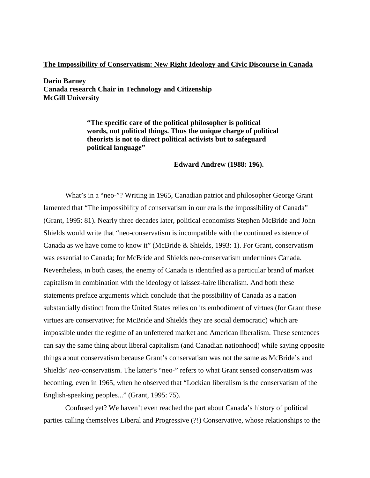# **The Impossibility of Conservatism: New Right Ideology and Civic Discourse in Canada**

**Darin Barney Canada research Chair in Technology and Citizenship McGill University**

> **"The specific care of the political philosopher is political words, not political things. Thus the unique charge of political theorists is not to direct political activists but to safeguard political language"**

#### **Edward Andrew (1988: 196).**

What's in a "neo-"? Writing in 1965, Canadian patriot and philosopher George Grant lamented that "The impossibility of conservatism in our era is the impossibility of Canada" (Grant, 1995: 81). Nearly three decades later, political economists Stephen McBride and John Shields would write that "neo-conservatism is incompatible with the continued existence of Canada as we have come to know it" (McBride & Shields, 1993: 1). For Grant, conservatism was essential to Canada; for McBride and Shields neo-conservatism undermines Canada. Nevertheless, in both cases, the enemy of Canada is identified as a particular brand of market capitalism in combination with the ideology of laissez-faire liberalism. And both these statements preface arguments which conclude that the possibility of Canada as a nation substantially distinct from the United States relies on its embodiment of virtues (for Grant these virtues are conservative; for McBride and Shields they are social democratic) which are impossible under the regime of an unfettered market and American liberalism. These sentences can say the same thing about liberal capitalism (and Canadian nationhood) while saying opposite things about conservatism because Grant's conservatism was not the same as McBride's and Shields' *neo*-conservatism. The latter's "neo-" refers to what Grant sensed conservatism was becoming, even in 1965, when he observed that "Lockian liberalism is the conservatism of the English-speaking peoples..." (Grant, 1995: 75).

Confused yet? We haven't even reached the part about Canada's history of political parties calling themselves Liberal and Progressive (?!) Conservative, whose relationships to the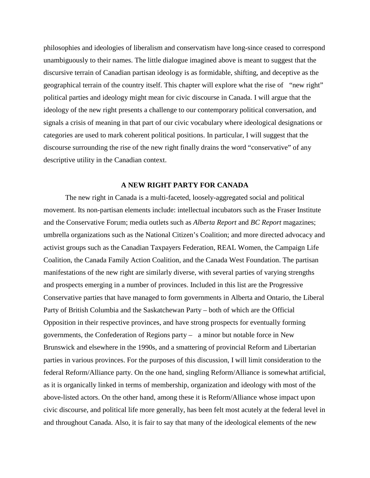philosophies and ideologies of liberalism and conservatism have long-since ceased to correspond unambiguously to their names. The little dialogue imagined above is meant to suggest that the discursive terrain of Canadian partisan ideology is as formidable, shifting, and deceptive as the geographical terrain of the country itself. This chapter will explore what the rise of "new right" political parties and ideology might mean for civic discourse in Canada. I will argue that the ideology of the new right presents a challenge to our contemporary political conversation, and signals a crisis of meaning in that part of our civic vocabulary where ideological designations or categories are used to mark coherent political positions. In particular, I will suggest that the discourse surrounding the rise of the new right finally drains the word "conservative" of any descriptive utility in the Canadian context.

#### **A NEW RIGHT PARTY FOR CANADA**

The new right in Canada is a multi-faceted, loosely-aggregated social and political movement. Its non-partisan elements include: intellectual incubators such as the Fraser Institute and the Conservative Forum; media outlets such as *Alberta Report* and *BC Report* magazines; umbrella organizations such as the National Citizen's Coalition; and more directed advocacy and activist groups such as the Canadian Taxpayers Federation, REAL Women, the Campaign Life Coalition, the Canada Family Action Coalition, and the Canada West Foundation. The partisan manifestations of the new right are similarly diverse, with several parties of varying strengths and prospects emerging in a number of provinces. Included in this list are the Progressive Conservative parties that have managed to form governments in Alberta and Ontario, the Liberal Party of British Columbia and the Saskatchewan Party – both of which are the Official Opposition in their respective provinces, and have strong prospects for eventually forming governments, the Confederation of Regions party – a minor but notable force in New Brunswick and elsewhere in the 1990s, and a smattering of provincial Reform and Libertarian parties in various provinces. For the purposes of this discussion, I will limit consideration to the federal Reform/Alliance party. On the one hand, singling Reform/Alliance is somewhat artificial, as it is organically linked in terms of membership, organization and ideology with most of the above-listed actors. On the other hand, among these it is Reform/Alliance whose impact upon civic discourse, and political life more generally, has been felt most acutely at the federal level in and throughout Canada. Also, it is fair to say that many of the ideological elements of the new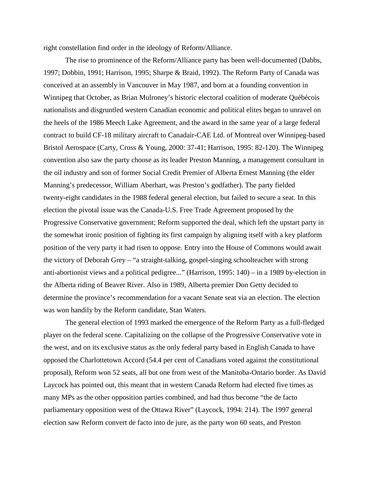right constellation find order in the ideology of Reform/Alliance.

The rise to prominence of the Reform/Alliance party has been well-documented (Dabbs, 1997; Dobbin, 1991; Harrison, 1995; Sharpe & Braid, 1992). The Reform Party of Canada was conceived at an assembly in Vancouver in May 1987, and born at a founding convention in Winnipeg that October, as Brian Mulroney's historic electoral coalition of moderate Québécois nationalists and disgruntled western Canadian economic and political elites began to unravel on the heels of the 1986 Meech Lake Agreement, and the award in the same year of a large federal contract to build CF-18 military aircraft to Canadair-CAE Ltd. of Montreal over Winnipeg-based Bristol Aerospace (Carty, Cross & Young, 2000: 37-41; Harrison, 1995: 82-120). The Winnipeg convention also saw the party choose as its leader Preston Manning, a management consultant in the oil industry and son of former Social Credit Premier of Alberta Ernest Manning (the elder Manning's predecessor, William Aberhart, was Preston's godfather). The party fielded twenty-eight candidates in the 1988 federal general election, but failed to secure a seat. In this election the pivotal issue was the Canada-U.S. Free Trade Agreement proposed by the Progressive Conservative government; Reform supported the deal, which left the upstart party in the somewhat ironic position of fighting its first campaign by aligning itself with a key platform position of the very party it had risen to oppose. Entry into the House of Commons would await the victory of Deborah Grey – "a straight-talking, gospel-singing schoolteacher with strong anti-abortionist views and a political pedigree..." (Harrison, 1995: 140) – in a 1989 by-election in the Alberta riding of Beaver River. Also in 1989, Alberta premier Don Getty decided to determine the province's recommendation for a vacant Senate seat via an election. The election was won handily by the Reform candidate, Stan Waters.

The general election of 1993 marked the emergence of the Reform Party as a full-fledged player on the federal scene. Capitalizing on the collapse of the Progressive Conservative vote in the west, and on its exclusive status as the only federal party based in English Canada to have opposed the Charlottetown Accord (54.4 per cent of Canadians voted against the constitutional proposal), Reform won 52 seats, all but one from west of the Manitoba-Ontario border. As David Laycock has pointed out, this meant that in western Canada Reform had elected five times as many MPs as the other opposition parties combined, and had thus become "the de facto parliamentary opposition west of the Ottawa River" (Laycock, 1994: 214). The 1997 general election saw Reform convert de facto into de jure, as the party won 60 seats, and Preston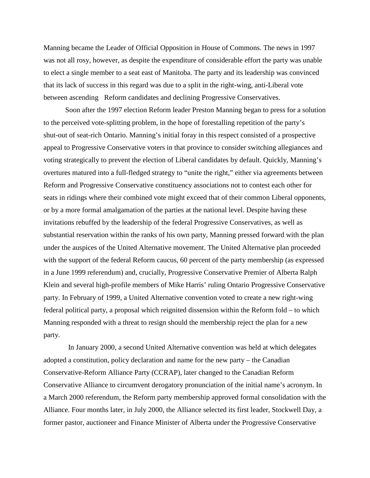Manning became the Leader of Official Opposition in House of Commons. The news in 1997 was not all rosy, however, as despite the expenditure of considerable effort the party was unable to elect a single member to a seat east of Manitoba. The party and its leadership was convinced that its lack of success in this regard was due to a split in the right-wing, anti-Liberal vote between ascending Reform candidates and declining Progressive Conservatives.

Soon after the 1997 election Reform leader Preston Manning began to press for a solution to the perceived vote-splitting problem, in the hope of forestalling repetition of the party's shut-out of seat-rich Ontario. Manning's initial foray in this respect consisted of a prospective appeal to Progressive Conservative voters in that province to consider switching allegiances and voting strategically to prevent the election of Liberal candidates by default. Quickly, Manning's overtures matured into a full-fledged strategy to "unite the right," either via agreements between Reform and Progressive Conservative constituency associations not to contest each other for seats in ridings where their combined vote might exceed that of their common Liberal opponents, or by a more formal amalgamation of the parties at the national level. Despite having these invitations rebuffed by the leadership of the federal Progressive Conservatives, as well as substantial reservation within the ranks of his own party, Manning pressed forward with the plan under the auspices of the United Alternative movement. The United Alternative plan proceeded with the support of the federal Reform caucus, 60 percent of the party membership (as expressed in a June 1999 referendum) and, crucially, Progressive Conservative Premier of Alberta Ralph Klein and several high-profile members of Mike Harris' ruling Ontario Progressive Conservative party. In February of 1999, a United Alternative convention voted to create a new right-wing federal political party, a proposal which reignited dissension within the Reform fold – to which Manning responded with a threat to resign should the membership reject the plan for a new party.

In January 2000, a second United Alternative convention was held at which delegates adopted a constitution, policy declaration and name for the new party – the Canadian Conservative-Reform Alliance Party (CCRAP), later changed to the Canadian Reform Conservative Alliance to circumvent derogatory pronunciation of the initial name's acronym. In a March 2000 referendum, the Reform party membership approved formal consolidation with the Alliance. Four months later, in July 2000, the Alliance selected its first leader, Stockwell Day, a former pastor, auctioneer and Finance Minister of Alberta under the Progressive Conservative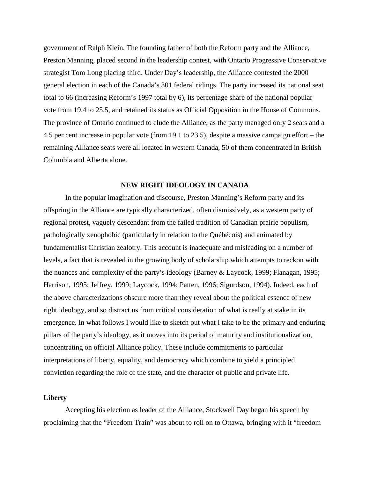government of Ralph Klein. The founding father of both the Reform party and the Alliance, Preston Manning, placed second in the leadership contest, with Ontario Progressive Conservative strategist Tom Long placing third. Under Day's leadership, the Alliance contested the 2000 general election in each of the Canada's 301 federal ridings. The party increased its national seat total to 66 (increasing Reform's 1997 total by 6), its percentage share of the national popular vote from 19.4 to 25.5, and retained its status as Official Opposition in the House of Commons. The province of Ontario continued to elude the Alliance, as the party managed only 2 seats and a 4.5 per cent increase in popular vote (from 19.1 to 23.5), despite a massive campaign effort – the remaining Alliance seats were all located in western Canada, 50 of them concentrated in British Columbia and Alberta alone.

#### **NEW RIGHT IDEOLOGY IN CANADA**

In the popular imagination and discourse, Preston Manning's Reform party and its offspring in the Alliance are typically characterized, often dismissively, as a western party of regional protest, vaguely descendant from the failed tradition of Canadian prairie populism, pathologically xenophobic (particularly in relation to the Québécois) and animated by fundamentalist Christian zealotry. This account is inadequate and misleading on a number of levels, a fact that is revealed in the growing body of scholarship which attempts to reckon with the nuances and complexity of the party's ideology (Barney & Laycock, 1999; Flanagan, 1995; Harrison, 1995; Jeffrey, 1999; Laycock, 1994; Patten, 1996; Sigurdson, 1994). Indeed, each of the above characterizations obscure more than they reveal about the political essence of new right ideology, and so distract us from critical consideration of what is really at stake in its emergence. In what follows I would like to sketch out what I take to be the primary and enduring pillars of the party's ideology, as it moves into its period of maturity and institutionalization, concentrating on official Alliance policy. These include commitments to particular interpretations of liberty, equality, and democracy which combine to yield a principled conviction regarding the role of the state, and the character of public and private life.

## **Liberty**

Accepting his election as leader of the Alliance, Stockwell Day began his speech by proclaiming that the "Freedom Train" was about to roll on to Ottawa, bringing with it "freedom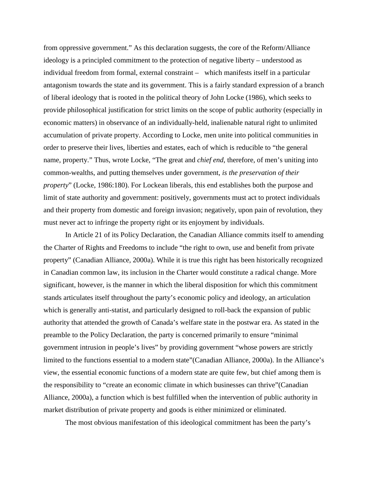from oppressive government." As this declaration suggests, the core of the Reform/Alliance ideology is a principled commitment to the protection of negative liberty – understood as individual freedom from formal, external constraint – which manifests itself in a particular antagonism towards the state and its government. This is a fairly standard expression of a branch of liberal ideology that is rooted in the political theory of John Locke (1986), which seeks to provide philosophical justification for strict limits on the scope of public authority (especially in economic matters) in observance of an individually-held, inalienable natural right to unlimited accumulation of private property. According to Locke, men unite into political communities in order to preserve their lives, liberties and estates, each of which is reducible to "the general name, property." Thus, wrote Locke, "The great and *chief end*, therefore, of men's uniting into common-wealths, and putting themselves under government, *is the preservation of their property*" (Locke, 1986:180). For Lockean liberals, this end establishes both the purpose and limit of state authority and government: positively, governments must act to protect individuals and their property from domestic and foreign invasion; negatively, upon pain of revolution, they must never act to infringe the property right or its enjoyment by individuals.

In Article 21 of its Policy Declaration, the Canadian Alliance commits itself to amending the Charter of Rights and Freedoms to include "the right to own, use and benefit from private property" (Canadian Alliance, 2000a). While it is true this right has been historically recognized in Canadian common law, its inclusion in the Charter would constitute a radical change. More significant, however, is the manner in which the liberal disposition for which this commitment stands articulates itself throughout the party's economic policy and ideology, an articulation which is generally anti-statist, and particularly designed to roll-back the expansion of public authority that attended the growth of Canada's welfare state in the postwar era. As stated in the preamble to the Policy Declaration, the party is concerned primarily to ensure "minimal government intrusion in people's lives" by providing government "whose powers are strictly limited to the functions essential to a modern state"(Canadian Alliance, 2000a). In the Alliance's view, the essential economic functions of a modern state are quite few, but chief among them is the responsibility to "create an economic climate in which businesses can thrive"(Canadian Alliance, 2000a), a function which is best fulfilled when the intervention of public authority in market distribution of private property and goods is either minimized or eliminated.

The most obvious manifestation of this ideological commitment has been the party's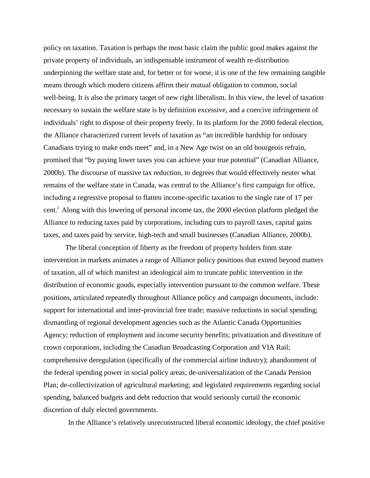policy on taxation. Taxation is perhaps the most basic claim the public good makes against the private property of individuals, an indispensable instrument of wealth re-distribution underpinning the welfare state and, for better or for worse, it is one of the few remaining tangible means through which modern citizens affirm their mutual obligation to common, social well-being. It is also the primary target of new right liberalism. In this view, the level of taxation necessary to sustain the welfare state is by definition excessive, and a coercive infringement of individuals' right to dispose of their property freely. In its platform for the 2000 federal election, the Alliance characterized current levels of taxation as "an incredible hardship for ordinary Canadians trying to make ends meet" and, in a New Age twist on an old bourgeois refrain, promised that "by paying lower taxes you can achieve your true potential" (Canadian Alliance, 2000b). The discourse of massive tax reduction, to degrees that would effectively neuter what remains of the welfare state in Canada, was central to the Alliance's first campaign for office, including a regressive proposal to flatten income-specific taxation to the single rate of 17 per cent.<sup> $\dot{I}$ </sup> Along with this lowering of personal income tax, the 2000 election platform pledged the Alliance to reducing taxes paid by corporations, including cuts to payroll taxes, capital gains taxes, and taxes paid by service, high-tech and small businesses (Canadian Alliance, 2000b).

The liberal conception of liberty as the freedom of property holders from state intervention in markets animates a range of Alliance policy positions that extend beyond matters of taxation, all of which manifest an ideological aim to truncate public intervention in the distribution of economic goods, especially intervention pursuant to the common welfare. These positions, articulated repeatedly throughout Alliance policy and campaign documents, include: support for international and inter-provincial free trade; massive reductions in social spending; dismantling of regional development agencies such as the Atlantic Canada Opportunities Agency; reduction of employment and income security benefits; privatization and divestiture of crown corporations, including the Canadian Broadcasting Corporation and VIA Rail; comprehensive deregulation (specifically of the commercial airline industry); abandonment of the federal spending power in social policy areas; de-universalization of the Canada Pension Plan; de-collectivization of agricultural marketing; and legislated requirements regarding social spending, balanced budgets and debt reduction that would seriously curtail the economic discretion of duly elected governments.

In the Alliance's relatively unreconstructed liberal economic ideology, the chief positive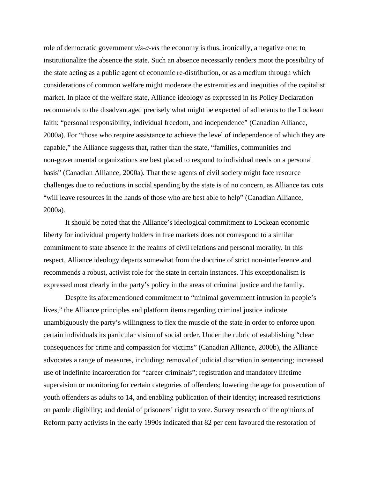role of democratic government *vis-a-vis* the economy is thus, ironically, a negative one: to institutionalize the absence the state. Such an absence necessarily renders moot the possibility of the state acting as a public agent of economic re-distribution, or as a medium through which considerations of common welfare might moderate the extremities and inequities of the capitalist market. In place of the welfare state, Alliance ideology as expressed in its Policy Declaration recommends to the disadvantaged precisely what might be expected of adherents to the Lockean faith: "personal responsibility, individual freedom, and independence" (Canadian Alliance, 2000a). For "those who require assistance to achieve the level of independence of which they are capable," the Alliance suggests that, rather than the state, "families, communities and non-governmental organizations are best placed to respond to individual needs on a personal basis" (Canadian Alliance, 2000a). That these agents of civil society might face resource challenges due to reductions in social spending by the state is of no concern, as Alliance tax cuts "will leave resources in the hands of those who are best able to help" (Canadian Alliance, 2000a).

It should be noted that the Alliance's ideological commitment to Lockean economic liberty for individual property holders in free markets does not correspond to a similar commitment to state absence in the realms of civil relations and personal morality. In this respect, Alliance ideology departs somewhat from the doctrine of strict non-interference and recommends a robust, activist role for the state in certain instances. This exceptionalism is expressed most clearly in the party's policy in the areas of criminal justice and the family.

Despite its aforementioned commitment to "minimal government intrusion in people's lives," the Alliance principles and platform items regarding criminal justice indicate unambiguously the party's willingness to flex the muscle of the state in order to enforce upon certain individuals its particular vision of social order. Under the rubric of establishing "clear consequences for crime and compassion for victims" (Canadian Alliance, 2000b), the Alliance advocates a range of measures, including: removal of judicial discretion in sentencing; increased use of indefinite incarceration for "career criminals"; registration and mandatory lifetime supervision or monitoring for certain categories of offenders; lowering the age for prosecution of youth offenders as adults to 14, and enabling publication of their identity; increased restrictions on parole eligibility; and denial of prisoners' right to vote. Survey research of the opinions of Reform party activists in the early 1990s indicated that 82 per cent favoured the restoration of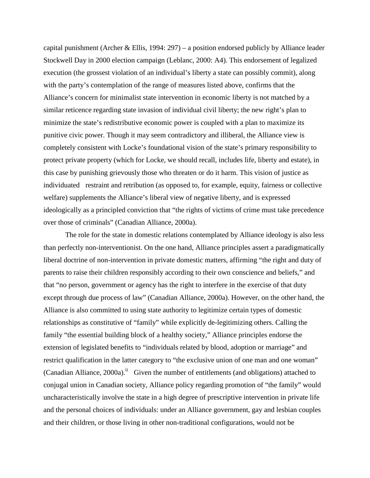capital punishment (Archer & Ellis, 1994: 297) – a position endorsed publicly by Alliance leader Stockwell Day in 2000 election campaign (Leblanc, 2000: A4). This endorsement of legalized execution (the grossest violation of an individual's liberty a state can possibly commit), along with the party's contemplation of the range of measures listed above, confirms that the Alliance's concern for minimalist state intervention in economic liberty is not matched by a similar reticence regarding state invasion of individual civil liberty; the new right's plan to minimize the state's redistributive economic power is coupled with a plan to maximize its punitive civic power. Though it may seem contradictory and illiberal, the Alliance view is completely consistent with Locke's foundational vision of the state's primary responsibility to protect private property (which for Locke, we should recall, includes life, liberty and estate), in this case by punishing grievously those who threaten or do it harm. This vision of justice as individuated restraint and retribution (as opposed to, for example, equity, fairness or collective welfare) supplements the Alliance's liberal view of negative liberty, and is expressed ideologically as a principled conviction that "the rights of victims of crime must take precedence over those of criminals" (Canadian Alliance, 2000a).

The role for the state in domestic relations contemplated by Alliance ideology is also less than perfectly non-interventionist. On the one hand, Alliance principles assert a paradigmatically liberal doctrine of non-intervention in private domestic matters, affirming "the right and duty of parents to raise their children responsibly according to their own conscience and beliefs," and that "no person, government or agency has the right to interfere in the exercise of that duty except through due process of law" (Canadian Alliance, 2000a). However, on the other hand, the Alliance is also committed to using state authority to legitimize certain types of domestic relationships as constitutive of "family" while explicitly de-legitimizing others. Calling the family "the essential building block of a healthy society," Alliance principles endorse the extension of legislated benefits to "individuals related by blood, adoption or marriage" and restrict qualification in the latter category to "the exclusive union of one man and one woman" (Canadian Alliance, 2000a).<sup>ii</sup> Given the number of entitlements (and obligations) attached to conjugal union in Canadian society, Alliance policy regarding promotion of "the family" would uncharacteristically involve the state in a high degree of prescriptive intervention in private life and the personal choices of individuals: under an Alliance government, gay and lesbian couples and their children, or those living in other non-traditional configurations, would not be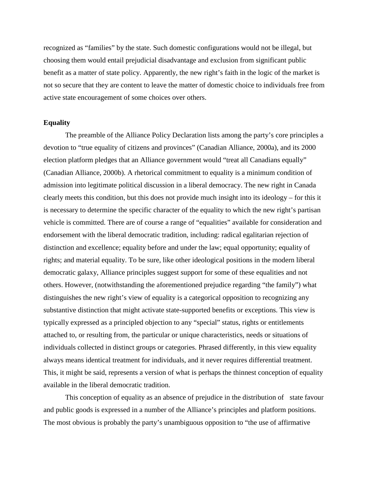recognized as "families" by the state. Such domestic configurations would not be illegal, but choosing them would entail prejudicial disadvantage and exclusion from significant public benefit as a matter of state policy. Apparently, the new right's faith in the logic of the market is not so secure that they are content to leave the matter of domestic choice to individuals free from active state encouragement of some choices over others.

## **Equality**

The preamble of the Alliance Policy Declaration lists among the party's core principles a devotion to "true equality of citizens and provinces" (Canadian Alliance, 2000a), and its 2000 election platform pledges that an Alliance government would "treat all Canadians equally" (Canadian Alliance, 2000b). A rhetorical commitment to equality is a minimum condition of admission into legitimate political discussion in a liberal democracy. The new right in Canada clearly meets this condition, but this does not provide much insight into its ideology – for this it is necessary to determine the specific character of the equality to which the new right's partisan vehicle is committed. There are of course a range of "equalities" available for consideration and endorsement with the liberal democratic tradition, including: radical egalitarian rejection of distinction and excellence; equality before and under the law; equal opportunity; equality of rights; and material equality. To be sure, like other ideological positions in the modern liberal democratic galaxy, Alliance principles suggest support for some of these equalities and not others. However, (notwithstanding the aforementioned prejudice regarding "the family") what distinguishes the new right's view of equality is a categorical opposition to recognizing any substantive distinction that might activate state-supported benefits or exceptions. This view is typically expressed as a principled objection to any "special" status, rights or entitlements attached to, or resulting from, the particular or unique characteristics, needs or situations of individuals collected in distinct groups or categories. Phrased differently, in this view equality always means identical treatment for individuals, and it never requires differential treatment. This, it might be said, represents a version of what is perhaps the thinnest conception of equality available in the liberal democratic tradition.

This conception of equality as an absence of prejudice in the distribution of state favour and public goods is expressed in a number of the Alliance's principles and platform positions. The most obvious is probably the party's unambiguous opposition to "the use of affirmative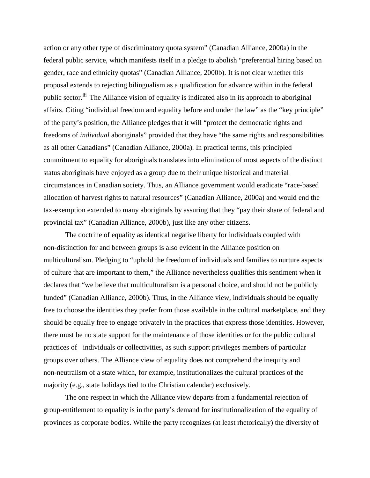action or any other type of discriminatory quota system" (Canadian Alliance, 2000a) in the federal public service, which manifests itself in a pledge to abolish "preferential hiring based on gender, race and ethnicity quotas" (Canadian Alliance, 2000b). It is not clear whether this proposal extends to rejecting bilingualism as a qualification for advance within in the federal public sector.<sup>iii</sup> The Alliance vision of equality is indicated also in its approach to aboriginal affairs. Citing "individual freedom and equality before and under the law" as the "key principle" of the party's position, the Alliance pledges that it will "protect the democratic rights and freedoms of *individual* aboriginals" provided that they have "the same rights and responsibilities as all other Canadians" (Canadian Alliance, 2000a). In practical terms, this principled commitment to equality for aboriginals translates into elimination of most aspects of the distinct status aboriginals have enjoyed as a group due to their unique historical and material circumstances in Canadian society. Thus, an Alliance government would eradicate "race-based allocation of harvest rights to natural resources" (Canadian Alliance, 2000a) and would end the tax-exemption extended to many aboriginals by assuring that they "pay their share of federal and provincial tax" (Canadian Alliance, 2000b), just like any other citizens.

The doctrine of equality as identical negative liberty for individuals coupled with non-distinction for and between groups is also evident in the Alliance position on multiculturalism. Pledging to "uphold the freedom of individuals and families to nurture aspects of culture that are important to them," the Alliance nevertheless qualifies this sentiment when it declares that "we believe that multiculturalism is a personal choice, and should not be publicly funded" (Canadian Alliance, 2000b). Thus, in the Alliance view, individuals should be equally free to choose the identities they prefer from those available in the cultural marketplace, and they should be equally free to engage privately in the practices that express those identities. However, there must be no state support for the maintenance of those identities or for the public cultural practices of individuals or collectivities, as such support privileges members of particular groups over others. The Alliance view of equality does not comprehend the inequity and non-neutralism of a state which, for example, institutionalizes the cultural practices of the majority (e.g., state holidays tied to the Christian calendar) exclusively.

The one respect in which the Alliance view departs from a fundamental rejection of group-entitlement to equality is in the party's demand for institutionalization of the equality of provinces as corporate bodies. While the party recognizes (at least rhetorically) the diversity of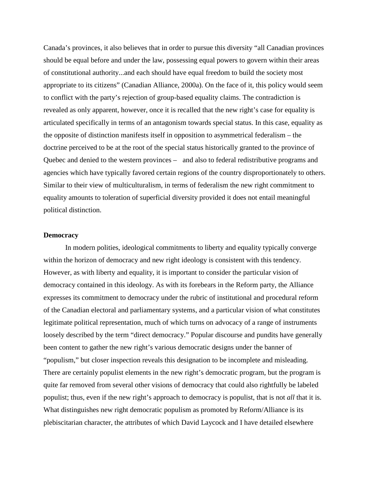Canada's provinces, it also believes that in order to pursue this diversity "all Canadian provinces should be equal before and under the law, possessing equal powers to govern within their areas of constitutional authority...and each should have equal freedom to build the society most appropriate to its citizens" (Canadian Alliance, 2000a). On the face of it, this policy would seem to conflict with the party's rejection of group-based equality claims. The contradiction is revealed as only apparent, however, once it is recalled that the new right's case for equality is articulated specifically in terms of an antagonism towards special status. In this case, equality as the opposite of distinction manifests itself in opposition to asymmetrical federalism – the doctrine perceived to be at the root of the special status historically granted to the province of Quebec and denied to the western provinces – and also to federal redistributive programs and agencies which have typically favored certain regions of the country disproportionately to others. Similar to their view of multiculturalism, in terms of federalism the new right commitment to equality amounts to toleration of superficial diversity provided it does not entail meaningful political distinction.

## **Democracy**

In modern polities, ideological commitments to liberty and equality typically converge within the horizon of democracy and new right ideology is consistent with this tendency. However, as with liberty and equality, it is important to consider the particular vision of democracy contained in this ideology. As with its forebears in the Reform party, the Alliance expresses its commitment to democracy under the rubric of institutional and procedural reform of the Canadian electoral and parliamentary systems, and a particular vision of what constitutes legitimate political representation, much of which turns on advocacy of a range of instruments loosely described by the term "direct democracy." Popular discourse and pundits have generally been content to gather the new right's various democratic designs under the banner of "populism," but closer inspection reveals this designation to be incomplete and misleading. There are certainly populist elements in the new right's democratic program, but the program is quite far removed from several other visions of democracy that could also rightfully be labeled populist; thus, even if the new right's approach to democracy is populist, that is not *all* that it is. What distinguishes new right democratic populism as promoted by Reform/Alliance is its plebiscitarian character, the attributes of which David Laycock and I have detailed elsewhere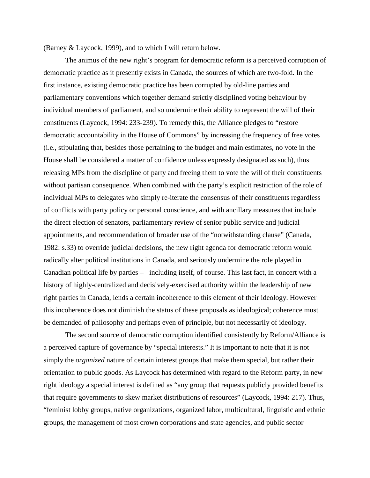(Barney & Laycock, 1999), and to which I will return below.

The animus of the new right's program for democratic reform is a perceived corruption of democratic practice as it presently exists in Canada, the sources of which are two-fold. In the first instance, existing democratic practice has been corrupted by old-line parties and parliamentary conventions which together demand strictly disciplined voting behaviour by individual members of parliament, and so undermine their ability to represent the will of their constituents (Laycock, 1994: 233-239). To remedy this, the Alliance pledges to "restore democratic accountability in the House of Commons" by increasing the frequency of free votes (i.e., stipulating that, besides those pertaining to the budget and main estimates, no vote in the House shall be considered a matter of confidence unless expressly designated as such), thus releasing MPs from the discipline of party and freeing them to vote the will of their constituents without partisan consequence. When combined with the party's explicit restriction of the role of individual MPs to delegates who simply re-iterate the consensus of their constituents regardless of conflicts with party policy or personal conscience, and with ancillary measures that include the direct election of senators, parliamentary review of senior public service and judicial appointments, and recommendation of broader use of the "notwithstanding clause" (Canada, 1982: s.33) to override judicial decisions, the new right agenda for democratic reform would radically alter political institutions in Canada, and seriously undermine the role played in Canadian political life by parties – including itself, of course. This last fact, in concert with a history of highly-centralized and decisively-exercised authority within the leadership of new right parties in Canada, lends a certain incoherence to this element of their ideology. However this incoherence does not diminish the status of these proposals as ideological; coherence must be demanded of philosophy and perhaps even of principle, but not necessarily of ideology.

The second source of democratic corruption identified consistently by Reform/Alliance is a perceived capture of governance by "special interests." It is important to note that it is not simply the *organized* nature of certain interest groups that make them special, but rather their orientation to public goods. As Laycock has determined with regard to the Reform party, in new right ideology a special interest is defined as "any group that requests publicly provided benefits that require governments to skew market distributions of resources" (Laycock, 1994: 217). Thus, "feminist lobby groups, native organizations, organized labor, multicultural, linguistic and ethnic groups, the management of most crown corporations and state agencies, and public sector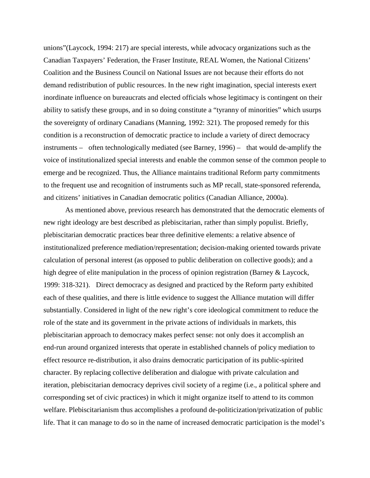unions"(Laycock, 1994: 217) are special interests, while advocacy organizations such as the Canadian Taxpayers' Federation, the Fraser Institute, REAL Women, the National Citizens' Coalition and the Business Council on National Issues are not because their efforts do not demand redistribution of public resources. In the new right imagination, special interests exert inordinate influence on bureaucrats and elected officials whose legitimacy is contingent on their ability to satisfy these groups, and in so doing constitute a "tyranny of minorities" which usurps the sovereignty of ordinary Canadians (Manning, 1992: 321). The proposed remedy for this condition is a reconstruction of democratic practice to include a variety of direct democracy instruments – often technologically mediated (see Barney, 1996) – that would de-amplify the voice of institutionalized special interests and enable the common sense of the common people to emerge and be recognized. Thus, the Alliance maintains traditional Reform party commitments to the frequent use and recognition of instruments such as MP recall, state-sponsored referenda, and citizens' initiatives in Canadian democratic politics (Canadian Alliance, 2000a).

As mentioned above, previous research has demonstrated that the democratic elements of new right ideology are best described as plebiscitarian, rather than simply populist. Briefly, plebiscitarian democratic practices bear three definitive elements: a relative absence of institutionalized preference mediation/representation; decision-making oriented towards private calculation of personal interest (as opposed to public deliberation on collective goods); and a high degree of elite manipulation in the process of opinion registration (Barney & Laycock, 1999: 318-321). Direct democracy as designed and practiced by the Reform party exhibited each of these qualities, and there is little evidence to suggest the Alliance mutation will differ substantially. Considered in light of the new right's core ideological commitment to reduce the role of the state and its government in the private actions of individuals in markets, this plebiscitarian approach to democracy makes perfect sense: not only does it accomplish an end-run around organized interests that operate in established channels of policy mediation to effect resource re-distribution, it also drains democratic participation of its public-spirited character. By replacing collective deliberation and dialogue with private calculation and iteration, plebiscitarian democracy deprives civil society of a regime (i.e., a political sphere and corresponding set of civic practices) in which it might organize itself to attend to its common welfare. Plebiscitarianism thus accomplishes a profound de-politicization/privatization of public life. That it can manage to do so in the name of increased democratic participation is the model's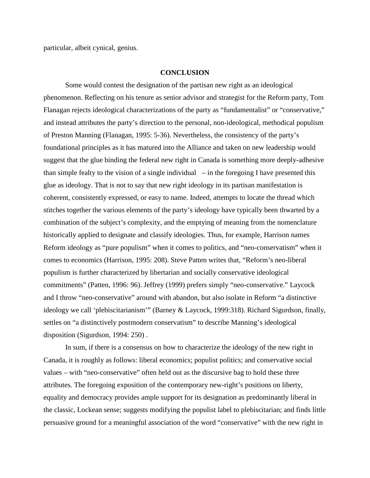particular, albeit cynical, genius.

#### **CONCLUSION**

Some would contest the designation of the partisan new right as an ideological phenomenon. Reflecting on his tenure as senior advisor and strategist for the Reform party, Tom Flanagan rejects ideological characterizations of the party as "fundamentalist" or "conservative," and instead attributes the party's direction to the personal, non-ideological, methodical populism of Preston Manning (Flanagan, 1995: 5-36). Nevertheless, the consistency of the party's foundational principles as it has matured into the Alliance and taken on new leadership would suggest that the glue binding the federal new right in Canada is something more deeply-adhesive than simple fealty to the vision of a single individual  $-$  in the foregoing I have presented this glue as ideology. That is not to say that new right ideology in its partisan manifestation is coherent, consistently expressed, or easy to name. Indeed, attempts to locate the thread which stitches together the various elements of the party's ideology have typically been thwarted by a combination of the subject's complexity, and the emptying of meaning from the nomenclature historically applied to designate and classify ideologies. Thus, for example, Harrison names Reform ideology as "pure populism" when it comes to politics, and "neo-conservatism" when it comes to economics (Harrison, 1995: 208). Steve Patten writes that, "Reform's neo-liberal populism is further characterized by libertarian and socially conservative ideological commitments" (Patten, 1996: 96). Jeffrey (1999) prefers simply "neo-conservative." Laycock and I throw "neo-conservative" around with abandon, but also isolate in Reform "a distinctive ideology we call 'plebiscitarianism'" (Barney & Laycock, 1999:318). Richard Sigurdson, finally, settles on "a distinctively postmodern conservatism" to describe Manning's ideological disposition (Sigurdson, 1994: 250) .

In sum, if there is a consensus on how to characterize the ideology of the new right in Canada, it is roughly as follows: liberal economics; populist politics; and conservative social values – with "neo-conservative" often held out as the discursive bag to hold these three attributes. The foregoing exposition of the contemporary new-right's positions on liberty, equality and democracy provides ample support for its designation as predominantly liberal in the classic, Lockean sense; suggests modifying the populist label to plebiscitarian; and finds little persuasive ground for a meaningful association of the word "conservative" with the new right in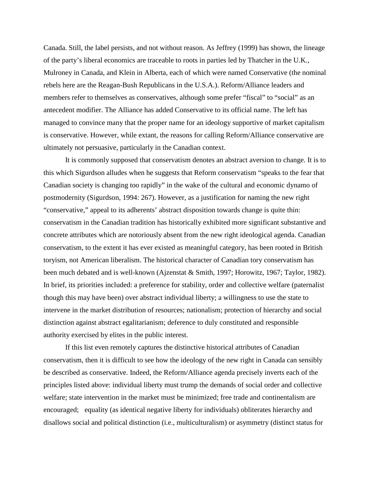Canada. Still, the label persists, and not without reason. As Jeffrey (1999) has shown, the lineage of the party's liberal economics are traceable to roots in parties led by Thatcher in the U.K., Mulroney in Canada, and Klein in Alberta, each of which were named Conservative (the nominal rebels here are the Reagan-Bush Republicans in the U.S.A.). Reform/Alliance leaders and members refer to themselves as conservatives, although some prefer "fiscal" to "social" as an antecedent modifier. The Alliance has added Conservative to its official name. The left has managed to convince many that the proper name for an ideology supportive of market capitalism is conservative. However, while extant, the reasons for calling Reform/Alliance conservative are ultimately not persuasive, particularly in the Canadian context.

It is commonly supposed that conservatism denotes an abstract aversion to change. It is to this which Sigurdson alludes when he suggests that Reform conservatism "speaks to the fear that Canadian society is changing too rapidly" in the wake of the cultural and economic dynamo of postmodernity (Sigurdson, 1994: 267). However, as a justification for naming the new right "conservative," appeal to its adherents' abstract disposition towards change is quite thin: conservatism in the Canadian tradition has historically exhibited more significant substantive and concrete attributes which are notoriously absent from the new right ideological agenda. Canadian conservatism, to the extent it has ever existed as meaningful category, has been rooted in British toryism, not American liberalism. The historical character of Canadian tory conservatism has been much debated and is well-known (Ajzenstat & Smith, 1997; Horowitz, 1967; Taylor, 1982). In brief, its priorities included: a preference for stability, order and collective welfare (paternalist though this may have been) over abstract individual liberty; a willingness to use the state to intervene in the market distribution of resources; nationalism; protection of hierarchy and social distinction against abstract egalitarianism; deference to duly constituted and responsible authority exercised by elites in the public interest.

If this list even remotely captures the distinctive historical attributes of Canadian conservatism, then it is difficult to see how the ideology of the new right in Canada can sensibly be described as conservative. Indeed, the Reform/Alliance agenda precisely inverts each of the principles listed above: individual liberty must trump the demands of social order and collective welfare; state intervention in the market must be minimized; free trade and continentalism are encouraged; equality (as identical negative liberty for individuals) obliterates hierarchy and disallows social and political distinction (i.e., multiculturalism) or asymmetry (distinct status for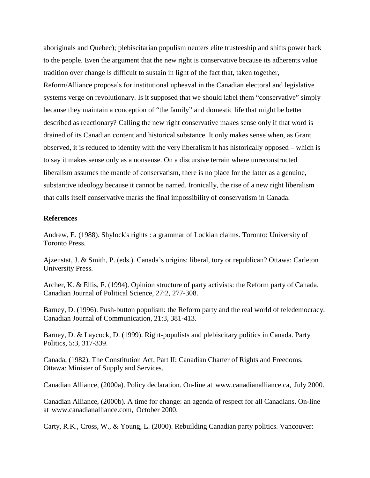aboriginals and Quebec); plebiscitarian populism neuters elite trusteeship and shifts power back to the people. Even the argument that the new right is conservative because its adherents value tradition over change is difficult to sustain in light of the fact that, taken together, Reform/Alliance proposals for institutional upheaval in the Canadian electoral and legislative systems verge on revolutionary. Is it supposed that we should label them "conservative" simply because they maintain a conception of "the family" and domestic life that might be better described as reactionary? Calling the new right conservative makes sense only if that word is drained of its Canadian content and historical substance. It only makes sense when, as Grant observed, it is reduced to identity with the very liberalism it has historically opposed – which is to say it makes sense only as a nonsense. On a discursive terrain where unreconstructed liberalism assumes the mantle of conservatism, there is no place for the latter as a genuine, substantive ideology because it cannot be named. Ironically, the rise of a new right liberalism that calls itself conservative marks the final impossibility of conservatism in Canada.

### **References**

Andrew, E. (1988). Shylock's rights : a grammar of Lockian claims. Toronto: University of Toronto Press.

Ajzenstat, J. & Smith, P. (eds.). Canada's origins: liberal, tory or republican? Ottawa: Carleton University Press.

Archer, K. & Ellis, F. (1994). Opinion structure of party activists: the Reform party of Canada. Canadian Journal of Political Science, 27:2, 277-308.

Barney, D. (1996). Push-button populism: the Reform party and the real world of teledemocracy. Canadian Journal of Communication, 21:3, 381-413.

Barney, D. & Laycock, D. (1999). Right-populists and plebiscitary politics in Canada. Party Politics, 5:3, 317-339.

Canada, (1982). The Constitution Act, Part II: Canadian Charter of Rights and Freedoms. Ottawa: Minister of Supply and Services.

Canadian Alliance, (2000a). Policy declaration. On-line at www.canadianalliance.ca, July 2000.

Canadian Alliance, (2000b). A time for change: an agenda of respect for all Canadians. On-line at www.canadianalliance.com, October 2000.

Carty, R.K., Cross, W., & Young, L. (2000). Rebuilding Canadian party politics. Vancouver: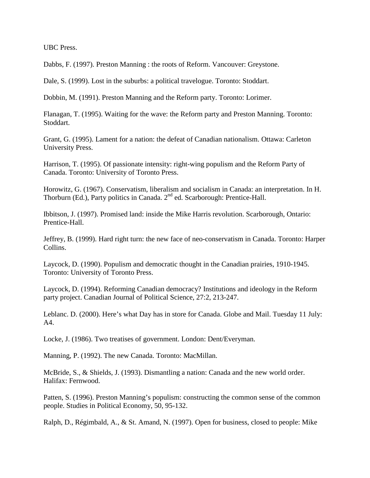UBC Press.

Dabbs, F. (1997). Preston Manning : the roots of Reform. Vancouver: Greystone.

Dale, S. (1999). Lost in the suburbs: a political travelogue. Toronto: Stoddart.

Dobbin, M. (1991). Preston Manning and the Reform party. Toronto: Lorimer.

Flanagan, T. (1995). Waiting for the wave: the Reform party and Preston Manning. Toronto: Stoddart.

Grant, G. (1995). Lament for a nation: the defeat of Canadian nationalism. Ottawa: Carleton University Press.

Harrison, T. (1995). Of passionate intensity: right-wing populism and the Reform Party of Canada. Toronto: University of Toronto Press.

Horowitz, G. (1967). Conservatism, liberalism and socialism in Canada: an interpretation. In H. Thorburn (Ed.), Party politics in Canada. 2<sup>nd</sup> ed. Scarborough: Prentice-Hall.

Ibbitson, J. (1997). Promised land: inside the Mike Harris revolution. Scarborough, Ontario: Prentice-Hall.

Jeffrey, B. (1999). Hard right turn: the new face of neo-conservatism in Canada. Toronto: Harper Collins.

Laycock, D. (1990). Populism and democratic thought in the Canadian prairies, 1910-1945. Toronto: University of Toronto Press.

Laycock, D. (1994). Reforming Canadian democracy? Institutions and ideology in the Reform party project. Canadian Journal of Political Science, 27:2, 213-247.

Leblanc. D. (2000). Here's what Day has in store for Canada. Globe and Mail. Tuesday 11 July: A4.

Locke, J. (1986). Two treatises of government. London: Dent/Everyman.

Manning, P. (1992). The new Canada. Toronto: MacMillan.

McBride, S., & Shields, J. (1993). Dismantling a nation: Canada and the new world order. Halifax: Fernwood.

Patten, S. (1996). Preston Manning's populism: constructing the common sense of the common people. Studies in Political Economy, 50, 95-132.

Ralph, D., Régimbald, A., & St. Amand, N. (1997). Open for business, closed to people: Mike